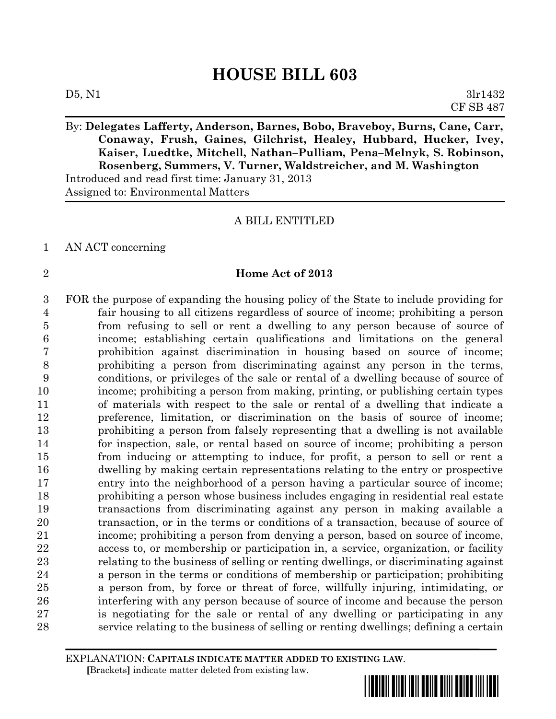By: **Delegates Lafferty, Anderson, Barnes, Bobo, Braveboy, Burns, Cane, Carr, Conaway, Frush, Gaines, Gilchrist, Healey, Hubbard, Hucker, Ivey, Kaiser, Luedtke, Mitchell, Nathan–Pulliam, Pena–Melnyk, S. Robinson, Rosenberg, Summers, V. Turner, Waldstreicher, and M. Washington** Introduced and read first time: January 31, 2013

Assigned to: Environmental Matters

### A BILL ENTITLED

# AN ACT concerning

# **Home Act of 2013**

 FOR the purpose of expanding the housing policy of the State to include providing for fair housing to all citizens regardless of source of income; prohibiting a person from refusing to sell or rent a dwelling to any person because of source of income; establishing certain qualifications and limitations on the general prohibition against discrimination in housing based on source of income; prohibiting a person from discriminating against any person in the terms, conditions, or privileges of the sale or rental of a dwelling because of source of income; prohibiting a person from making, printing, or publishing certain types of materials with respect to the sale or rental of a dwelling that indicate a preference, limitation, or discrimination on the basis of source of income; prohibiting a person from falsely representing that a dwelling is not available for inspection, sale, or rental based on source of income; prohibiting a person from inducing or attempting to induce, for profit, a person to sell or rent a dwelling by making certain representations relating to the entry or prospective entry into the neighborhood of a person having a particular source of income; prohibiting a person whose business includes engaging in residential real estate transactions from discriminating against any person in making available a transaction, or in the terms or conditions of a transaction, because of source of income; prohibiting a person from denying a person, based on source of income, access to, or membership or participation in, a service, organization, or facility relating to the business of selling or renting dwellings, or discriminating against a person in the terms or conditions of membership or participation; prohibiting a person from, by force or threat of force, willfully injuring, intimidating, or interfering with any person because of source of income and because the person is negotiating for the sale or rental of any dwelling or participating in any service relating to the business of selling or renting dwellings; defining a certain

EXPLANATION: **CAPITALS INDICATE MATTER ADDED TO EXISTING LAW**.  **[**Brackets**]** indicate matter deleted from existing law.



CF SB 487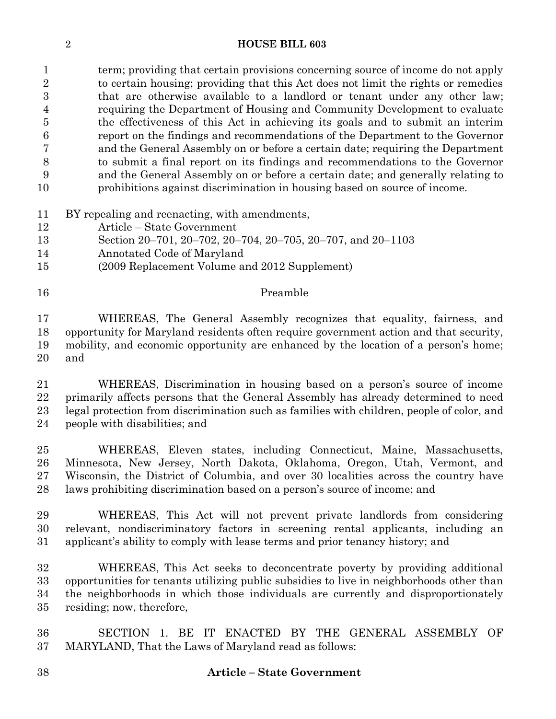term; providing that certain provisions concerning source of income do not apply to certain housing; providing that this Act does not limit the rights or remedies that are otherwise available to a landlord or tenant under any other law; requiring the Department of Housing and Community Development to evaluate the effectiveness of this Act in achieving its goals and to submit an interim report on the findings and recommendations of the Department to the Governor and the General Assembly on or before a certain date; requiring the Department to submit a final report on its findings and recommendations to the Governor and the General Assembly on or before a certain date; and generally relating to prohibitions against discrimination in housing based on source of income.

- BY repealing and reenacting, with amendments,
- Article State Government
- Section 20–701, 20–702, 20–704, 20–705, 20–707, and 20–1103
- Annotated Code of Maryland
- (2009 Replacement Volume and 2012 Supplement)

#### 16 Preamble

 WHEREAS, The General Assembly recognizes that equality, fairness, and opportunity for Maryland residents often require government action and that security, mobility, and economic opportunity are enhanced by the location of a person's home; and

 WHEREAS, Discrimination in housing based on a person's source of income primarily affects persons that the General Assembly has already determined to need legal protection from discrimination such as families with children, people of color, and people with disabilities; and

 WHEREAS, Eleven states, including Connecticut, Maine, Massachusetts, Minnesota, New Jersey, North Dakota, Oklahoma, Oregon, Utah, Vermont, and Wisconsin, the District of Columbia, and over 30 localities across the country have laws prohibiting discrimination based on a person's source of income; and

 WHEREAS, This Act will not prevent private landlords from considering relevant, nondiscriminatory factors in screening rental applicants, including an applicant's ability to comply with lease terms and prior tenancy history; and

 WHEREAS, This Act seeks to deconcentrate poverty by providing additional opportunities for tenants utilizing public subsidies to live in neighborhoods other than the neighborhoods in which those individuals are currently and disproportionately residing; now, therefore,

 SECTION 1. BE IT ENACTED BY THE GENERAL ASSEMBLY OF MARYLAND, That the Laws of Maryland read as follows: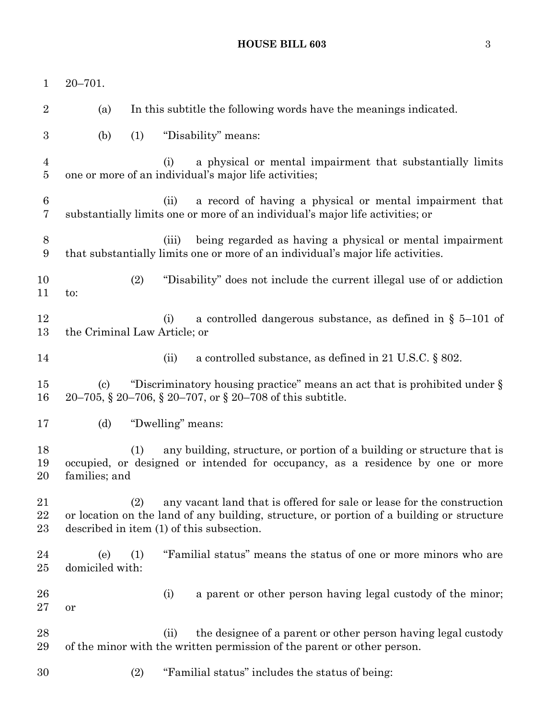# **HOUSE BILL 603** 3

| $\mathbf{1}$                     | $20 - 701.$                                                                                                                                                                                                             |
|----------------------------------|-------------------------------------------------------------------------------------------------------------------------------------------------------------------------------------------------------------------------|
| $\overline{2}$                   | In this subtitle the following words have the meanings indicated.<br>(a)                                                                                                                                                |
| $\boldsymbol{3}$                 | "Disability" means:<br>(b)<br>(1)                                                                                                                                                                                       |
| $\overline{4}$<br>$\overline{5}$ | a physical or mental impairment that substantially limits<br>(i)<br>one or more of an individual's major life activities;                                                                                               |
| $6\phantom{.}6$<br>7             | a record of having a physical or mental impairment that<br>(ii)<br>substantially limits one or more of an individual's major life activities; or                                                                        |
| 8<br>$\boldsymbol{9}$            | being regarded as having a physical or mental impairment<br>(iii)<br>that substantially limits one or more of an individual's major life activities.                                                                    |
| 10<br>11                         | (2)<br>"Disability" does not include the current illegal use of or addiction<br>to:                                                                                                                                     |
| 12<br>13                         | a controlled dangerous substance, as defined in $\S$ 5–101 of<br>(i)<br>the Criminal Law Article; or                                                                                                                    |
| 14                               | a controlled substance, as defined in 21 U.S.C. $\S$ 802.<br>(ii)                                                                                                                                                       |
| 15<br>16                         | "Discriminatory housing practice" means an act that is prohibited under $\S$<br>$\left( \mathrm{c}\right)$<br>20–705, § 20–706, § 20–707, or § 20–708 of this subtitle.                                                 |
| 17                               | (d)<br>"Dwelling" means:                                                                                                                                                                                                |
| 18<br>19<br>20                   | any building, structure, or portion of a building or structure that is<br>(1)<br>occupied, or designed or intended for occupancy, as a residence by one or more<br>families; and                                        |
| 21<br>22<br>23                   | any vacant land that is offered for sale or lease for the construction<br>(2)<br>or location on the land of any building, structure, or portion of a building or structure<br>described in item (1) of this subsection. |
| 24<br>$25\,$                     | "Familial status" means the status of one or more minors who are<br>(e)<br>(1)<br>domiciled with:                                                                                                                       |
| 26<br>$27\,$                     | (i)<br>a parent or other person having legal custody of the minor;<br>or                                                                                                                                                |
| 28<br>29                         | the designee of a parent or other person having legal custody<br>(ii)<br>of the minor with the written permission of the parent or other person.                                                                        |
| 30                               | (2)<br>"Familial status" includes the status of being:                                                                                                                                                                  |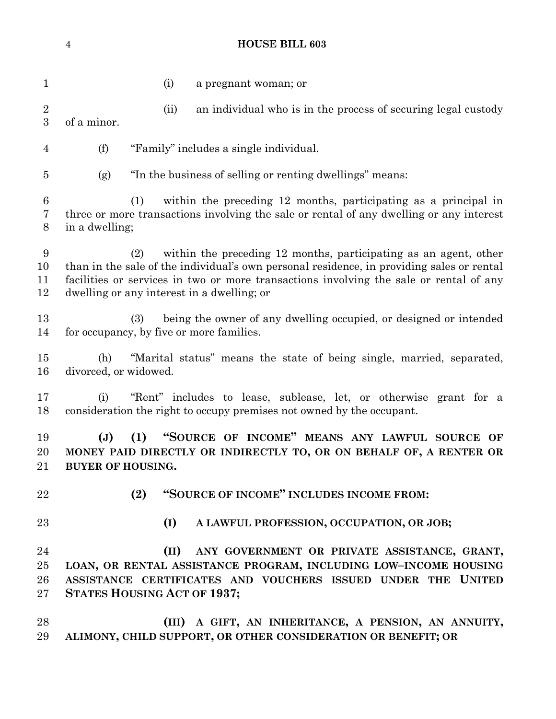(i) a pregnant woman; or (ii) an individual who is in the process of securing legal custody of a minor. (f) "Family" includes a single individual. (g) "In the business of selling or renting dwellings" means: (1) within the preceding 12 months, participating as a principal in three or more transactions involving the sale or rental of any dwelling or any interest in a dwelling; (2) within the preceding 12 months, participating as an agent, other than in the sale of the individual's own personal residence, in providing sales or rental facilities or services in two or more transactions involving the sale or rental of any dwelling or any interest in a dwelling; or (3) being the owner of any dwelling occupied, or designed or intended for occupancy, by five or more families. (h) "Marital status" means the state of being single, married, separated, divorced, or widowed. (i) "Rent" includes to lease, sublease, let, or otherwise grant for a consideration the right to occupy premises not owned by the occupant. **(J) (1) "SOURCE OF INCOME" MEANS ANY LAWFUL SOURCE OF MONEY PAID DIRECTLY OR INDIRECTLY TO, OR ON BEHALF OF, A RENTER OR BUYER OF HOUSING. (2) "SOURCE OF INCOME" INCLUDES INCOME FROM: (I) A LAWFUL PROFESSION, OCCUPATION, OR JOB; (II) ANY GOVERNMENT OR PRIVATE ASSISTANCE, GRANT, LOAN, OR RENTAL ASSISTANCE PROGRAM, INCLUDING LOW–INCOME HOUSING ASSISTANCE CERTIFICATES AND VOUCHERS ISSUED UNDER THE UNITED STATES HOUSING ACT OF 1937; (III) A GIFT, AN INHERITANCE, A PENSION, AN ANNUITY, ALIMONY, CHILD SUPPORT, OR OTHER CONSIDERATION OR BENEFIT; OR**

**HOUSE BILL 603**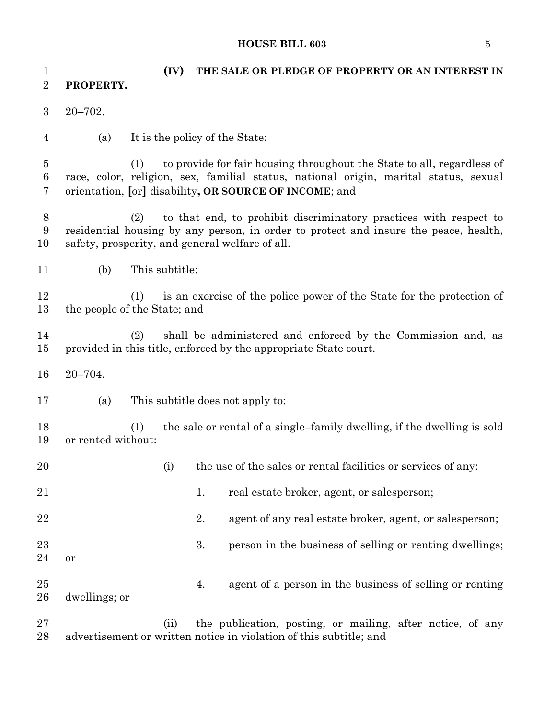#### **HOUSE BILL 603** 5

 **(IV) THE SALE OR PLEDGE OF PROPERTY OR AN INTEREST IN PROPERTY.** 20–702. (a) It is the policy of the State: (1) to provide for fair housing throughout the State to all, regardless of race, color, religion, sex, familial status, national origin, marital status, sexual orientation, **[**or**]** disability**, OR SOURCE OF INCOME**; and (2) to that end, to prohibit discriminatory practices with respect to residential housing by any person, in order to protect and insure the peace, health, safety, prosperity, and general welfare of all. (b) This subtitle: (1) is an exercise of the police power of the State for the protection of the people of the State; and (2) shall be administered and enforced by the Commission and, as provided in this title, enforced by the appropriate State court. 20–704. (a) This subtitle does not apply to: (1) the sale or rental of a single–family dwelling, if the dwelling is sold or rented without: 20 (i) the use of the sales or rental facilities or services of any: 21 1. real estate broker, agent, or salesperson; 22 22 2. agent of any real estate broker, agent, or salesperson; 23 3. person in the business of selling or renting dwellings; or 4. agent of a person in the business of selling or renting dwellings; or (ii) the publication, posting, or mailing, after notice, of any advertisement or written notice in violation of this subtitle; and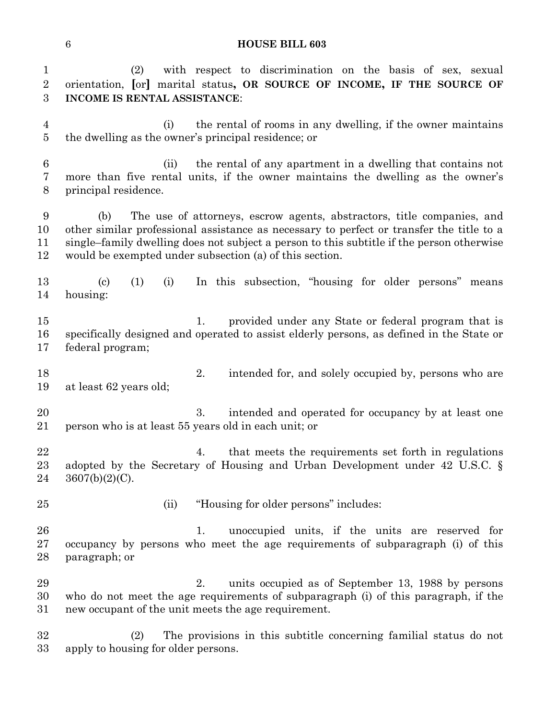(2) with respect to discrimination on the basis of sex, sexual orientation, **[**or**]** marital status**, OR SOURCE OF INCOME, IF THE SOURCE OF INCOME IS RENTAL ASSISTANCE**:

 (i) the rental of rooms in any dwelling, if the owner maintains the dwelling as the owner's principal residence; or

 (ii) the rental of any apartment in a dwelling that contains not more than five rental units, if the owner maintains the dwelling as the owner's principal residence.

 (b) The use of attorneys, escrow agents, abstractors, title companies, and other similar professional assistance as necessary to perfect or transfer the title to a single–family dwelling does not subject a person to this subtitle if the person otherwise would be exempted under subsection (a) of this section.

 (c) (1) (i) In this subsection, "housing for older persons" means housing:

- 15 1. provided under any State or federal program that is specifically designed and operated to assist elderly persons, as defined in the State or federal program;
- 2. intended for, and solely occupied by, persons who are at least 62 years old;

20 3. intended and operated for occupancy by at least one person who is at least 55 years old in each unit; or

22 4. that meets the requirements set forth in regulations adopted by the Secretary of Housing and Urban Development under 42 U.S.C. §  $24 \quad 3607(b)(2)(C)$ .

(ii) "Housing for older persons" includes:

 1. unoccupied units, if the units are reserved for occupancy by persons who meet the age requirements of subparagraph (i) of this paragraph; or

 2. units occupied as of September 13, 1988 by persons who do not meet the age requirements of subparagraph (i) of this paragraph, if the new occupant of the unit meets the age requirement.

 (2) The provisions in this subtitle concerning familial status do not apply to housing for older persons.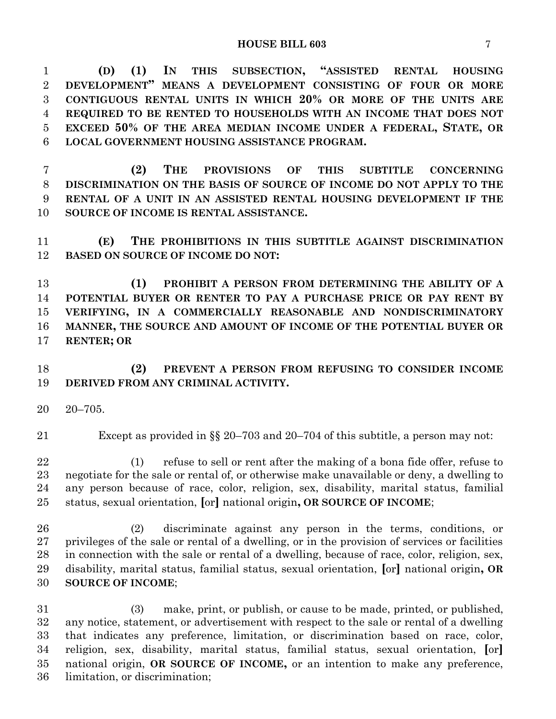**(D) (1) IN THIS SUBSECTION, "ASSISTED RENTAL HOUSING DEVELOPMENT" MEANS A DEVELOPMENT CONSISTING OF FOUR OR MORE CONTIGUOUS RENTAL UNITS IN WHICH 20% OR MORE OF THE UNITS ARE REQUIRED TO BE RENTED TO HOUSEHOLDS WITH AN INCOME THAT DOES NOT EXCEED 50% OF THE AREA MEDIAN INCOME UNDER A FEDERAL, STATE, OR LOCAL GOVERNMENT HOUSING ASSISTANCE PROGRAM.**

 **(2) THE PROVISIONS OF THIS SUBTITLE CONCERNING DISCRIMINATION ON THE BASIS OF SOURCE OF INCOME DO NOT APPLY TO THE RENTAL OF A UNIT IN AN ASSISTED RENTAL HOUSING DEVELOPMENT IF THE SOURCE OF INCOME IS RENTAL ASSISTANCE.**

 **(E) THE PROHIBITIONS IN THIS SUBTITLE AGAINST DISCRIMINATION BASED ON SOURCE OF INCOME DO NOT:**

 **(1) PROHIBIT A PERSON FROM DETERMINING THE ABILITY OF A POTENTIAL BUYER OR RENTER TO PAY A PURCHASE PRICE OR PAY RENT BY VERIFYING, IN A COMMERCIALLY REASONABLE AND NONDISCRIMINATORY MANNER, THE SOURCE AND AMOUNT OF INCOME OF THE POTENTIAL BUYER OR RENTER; OR**

# **(2) PREVENT A PERSON FROM REFUSING TO CONSIDER INCOME DERIVED FROM ANY CRIMINAL ACTIVITY.**

- 20–705.
- 

Except as provided in §§ 20–703 and 20–704 of this subtitle, a person may not:

 (1) refuse to sell or rent after the making of a bona fide offer, refuse to negotiate for the sale or rental of, or otherwise make unavailable or deny, a dwelling to any person because of race, color, religion, sex, disability, marital status, familial status, sexual orientation, **[**or**]** national origin**, OR SOURCE OF INCOME**;

 (2) discriminate against any person in the terms, conditions, or privileges of the sale or rental of a dwelling, or in the provision of services or facilities in connection with the sale or rental of a dwelling, because of race, color, religion, sex, disability, marital status, familial status, sexual orientation, **[**or**]** national origin**, OR SOURCE OF INCOME**;

 (3) make, print, or publish, or cause to be made, printed, or published, any notice, statement, or advertisement with respect to the sale or rental of a dwelling that indicates any preference, limitation, or discrimination based on race, color, religion, sex, disability, marital status, familial status, sexual orientation, **[**or**]** national origin, **OR SOURCE OF INCOME,** or an intention to make any preference, limitation, or discrimination;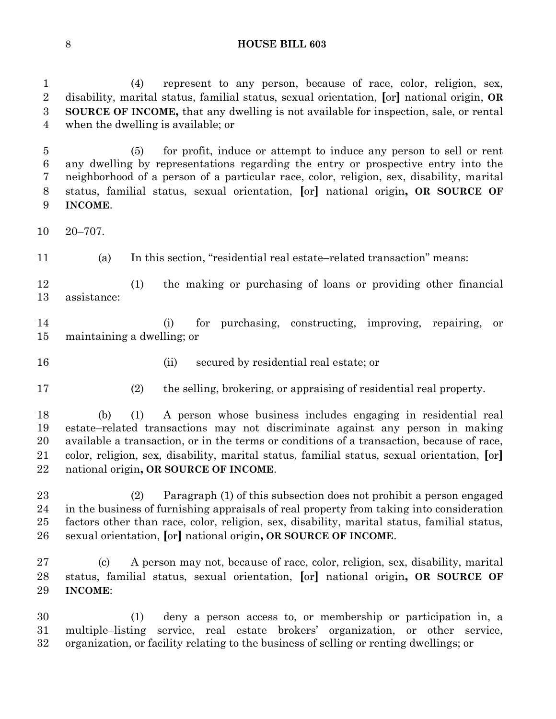(4) represent to any person, because of race, color, religion, sex, disability, marital status, familial status, sexual orientation, **[**or**]** national origin, **OR SOURCE OF INCOME,** that any dwelling is not available for inspection, sale, or rental when the dwelling is available; or

 (5) for profit, induce or attempt to induce any person to sell or rent any dwelling by representations regarding the entry or prospective entry into the neighborhood of a person of a particular race, color, religion, sex, disability, marital status, familial status, sexual orientation, **[**or**]** national origin**, OR SOURCE OF INCOME**.

20–707.

(a) In this section, "residential real estate–related transaction" means:

 (1) the making or purchasing of loans or providing other financial assistance:

 (i) for purchasing, constructing, improving, repairing, or maintaining a dwelling; or

- 
- (ii) secured by residential real estate; or
- 
- (2) the selling, brokering, or appraising of residential real property.

 (b) (1) A person whose business includes engaging in residential real estate–related transactions may not discriminate against any person in making available a transaction, or in the terms or conditions of a transaction, because of race, color, religion, sex, disability, marital status, familial status, sexual orientation, **[**or**]** national origin**, OR SOURCE OF INCOME**.

 (2) Paragraph (1) of this subsection does not prohibit a person engaged in the business of furnishing appraisals of real property from taking into consideration factors other than race, color, religion, sex, disability, marital status, familial status, sexual orientation, **[**or**]** national origin**, OR SOURCE OF INCOME**.

 (c) A person may not, because of race, color, religion, sex, disability, marital status, familial status, sexual orientation, **[**or**]** national origin**, OR SOURCE OF INCOME**:

 (1) deny a person access to, or membership or participation in, a multiple–listing service, real estate brokers' organization, or other service, organization, or facility relating to the business of selling or renting dwellings; or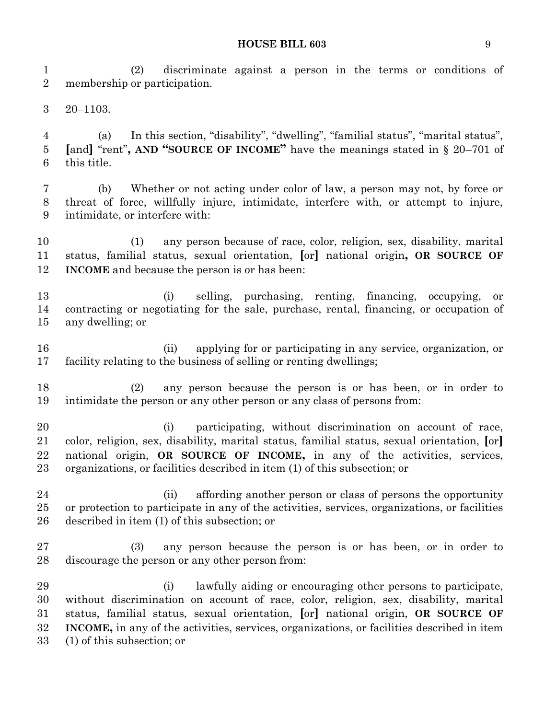**HOUSE BILL 603** 9

 (2) discriminate against a person in the terms or conditions of membership or participation.

20–1103.

 (a) In this section, "disability", "dwelling", "familial status", "marital status", **[**and**]** "rent"**, AND "SOURCE OF INCOME"** have the meanings stated in § 20–701 of this title.

 (b) Whether or not acting under color of law, a person may not, by force or threat of force, willfully injure, intimidate, interfere with, or attempt to injure, intimidate, or interfere with:

 (1) any person because of race, color, religion, sex, disability, marital status, familial status, sexual orientation, **[**or**]** national origin**, OR SOURCE OF INCOME** and because the person is or has been:

 (i) selling, purchasing, renting, financing, occupying, or contracting or negotiating for the sale, purchase, rental, financing, or occupation of any dwelling; or

 (ii) applying for or participating in any service, organization, or facility relating to the business of selling or renting dwellings;

 (2) any person because the person is or has been, or in order to intimidate the person or any other person or any class of persons from:

 (i) participating, without discrimination on account of race, color, religion, sex, disability, marital status, familial status, sexual orientation, **[**or**]** national origin, **OR SOURCE OF INCOME,** in any of the activities, services, organizations, or facilities described in item (1) of this subsection; or

 (ii) affording another person or class of persons the opportunity or protection to participate in any of the activities, services, organizations, or facilities described in item (1) of this subsection; or

 (3) any person because the person is or has been, or in order to discourage the person or any other person from:

 (i) lawfully aiding or encouraging other persons to participate, without discrimination on account of race, color, religion, sex, disability, marital status, familial status, sexual orientation, **[**or**]** national origin, **OR SOURCE OF INCOME,** in any of the activities, services, organizations, or facilities described in item (1) of this subsection; or